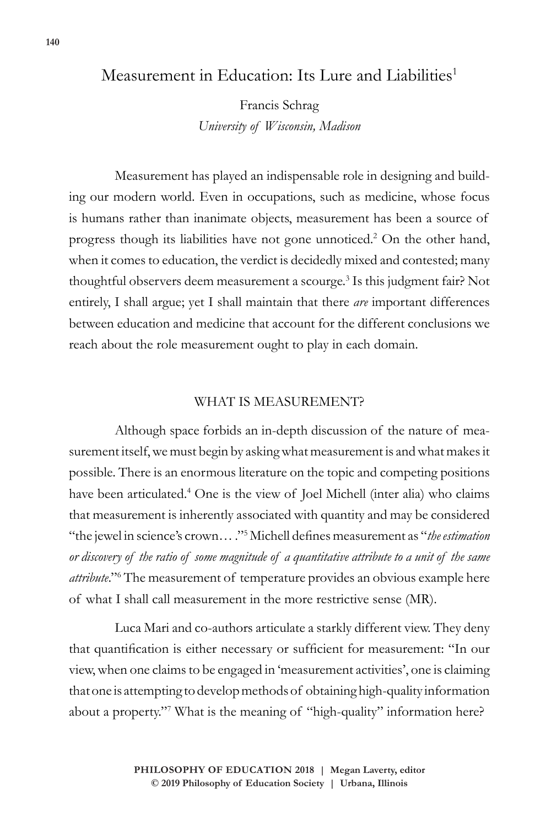# Measurement in Education: Its Lure and Liabilities<sup>1</sup>

Francis Schrag *University of Wisconsin, Madison*

Measurement has played an indispensable role in designing and building our modern world. Even in occupations, such as medicine, whose focus is humans rather than inanimate objects, measurement has been a source of progress though its liabilities have not gone unnoticed.<sup>2</sup> On the other hand, when it comes to education, the verdict is decidedly mixed and contested; many thoughtful observers deem measurement a scourge.<sup>3</sup> Is this judgment fair? Not entirely, I shall argue; yet I shall maintain that there *are* important differences between education and medicine that account for the different conclusions we reach about the role measurement ought to play in each domain.

## WHAT IS MEASUREMENT?

Although space forbids an in-depth discussion of the nature of measurement itself, we must begin by asking what measurement is and what makes it possible. There is an enormous literature on the topic and competing positions have been articulated.<sup>4</sup> One is the view of Joel Michell (inter alia) who claims that measurement is inherently associated with quantity and may be considered "the jewel in science's crown… ."5 Michell defines measurement as "*the estimation or discovery of the ratio of some magnitude of a quantitative attribute to a unit of the same*  attribute."<sup>6</sup> The measurement of temperature provides an obvious example here of what I shall call measurement in the more restrictive sense (MR).

Luca Mari and co-authors articulate a starkly different view. They deny that quantification is either necessary or sufficient for measurement: "In our view, when one claims to be engaged in 'measurement activities', one is claiming that one is attempting to develop methods of obtaining high-quality information about a property."7 What is the meaning of "high-quality" information here?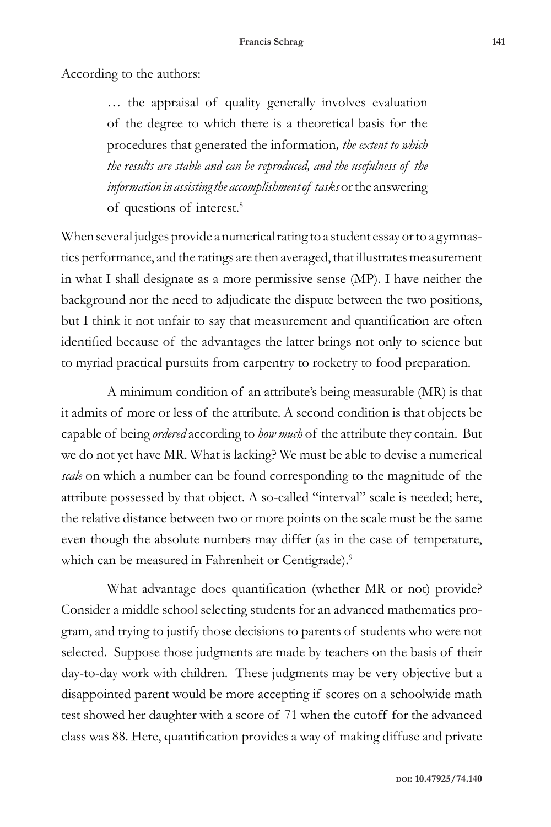According to the authors:

… the appraisal of quality generally involves evaluation of the degree to which there is a theoretical basis for the procedures that generated the information*, the extent to which the results are stable and can be reproduced, and the usefulness of the information in assisting the accomplishment of tasks* or the answering of questions of interest.8

When several judges provide a numerical rating to a student essay or to a gymnastics performance, and the ratings are then averaged, that illustrates measurement in what I shall designate as a more permissive sense (MP). I have neither the background nor the need to adjudicate the dispute between the two positions, but I think it not unfair to say that measurement and quantification are often identified because of the advantages the latter brings not only to science but to myriad practical pursuits from carpentry to rocketry to food preparation.

A minimum condition of an attribute's being measurable (MR) is that it admits of more or less of the attribute. A second condition is that objects be capable of being *ordered* according to *how much* of the attribute they contain. But we do not yet have MR. What is lacking? We must be able to devise a numerical *scale* on which a number can be found corresponding to the magnitude of the attribute possessed by that object. A so-called "interval" scale is needed; here, the relative distance between two or more points on the scale must be the same even though the absolute numbers may differ (as in the case of temperature, which can be measured in Fahrenheit or Centigrade).<sup>9</sup>

What advantage does quantification (whether MR or not) provide? Consider a middle school selecting students for an advanced mathematics program, and trying to justify those decisions to parents of students who were not selected. Suppose those judgments are made by teachers on the basis of their day-to-day work with children. These judgments may be very objective but a disappointed parent would be more accepting if scores on a schoolwide math test showed her daughter with a score of 71 when the cutoff for the advanced class was 88. Here, quantification provides a way of making diffuse and private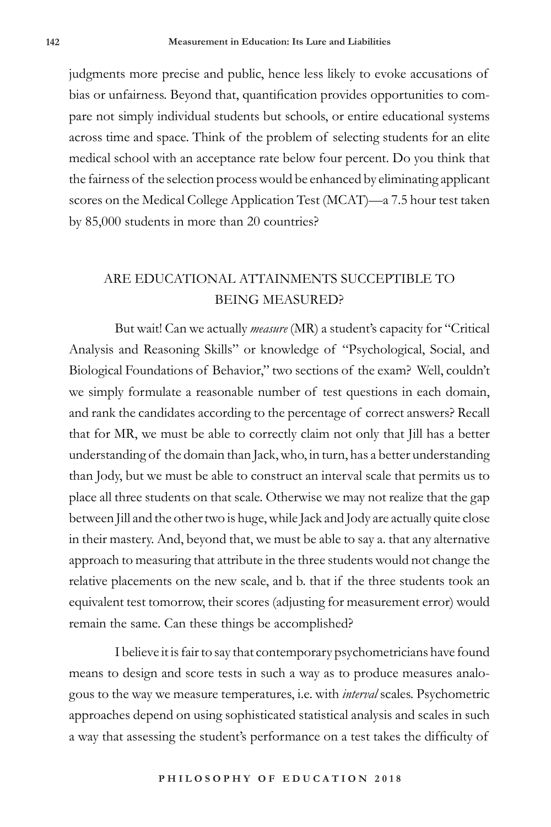judgments more precise and public, hence less likely to evoke accusations of bias or unfairness. Beyond that, quantification provides opportunities to compare not simply individual students but schools, or entire educational systems across time and space. Think of the problem of selecting students for an elite medical school with an acceptance rate below four percent. Do you think that the fairness of the selection process would be enhanced by eliminating applicant scores on the Medical College Application Test (MCAT)—a 7.5 hour test taken by 85,000 students in more than 20 countries?

## ARE EDUCATIONAL ATTAINMENTS SUCCEPTIBLE TO BEING MEASURED?

But wait! Can we actually *measure* (MR) a student's capacity for "Critical Analysis and Reasoning Skills" or knowledge of "Psychological, Social, and Biological Foundations of Behavior," two sections of the exam? Well, couldn't we simply formulate a reasonable number of test questions in each domain, and rank the candidates according to the percentage of correct answers? Recall that for MR, we must be able to correctly claim not only that Jill has a better understanding of the domain than Jack, who, in turn, has a better understanding than Jody, but we must be able to construct an interval scale that permits us to place all three students on that scale. Otherwise we may not realize that the gap between Jill and the other two is huge, while Jack and Jody are actually quite close in their mastery. And, beyond that, we must be able to say a. that any alternative approach to measuring that attribute in the three students would not change the relative placements on the new scale, and b. that if the three students took an equivalent test tomorrow, their scores (adjusting for measurement error) would remain the same. Can these things be accomplished?

I believe it is fair to say that contemporary psychometricians have found means to design and score tests in such a way as to produce measures analogous to the way we measure temperatures, i.e. with *interval* scales. Psychometric approaches depend on using sophisticated statistical analysis and scales in such a way that assessing the student's performance on a test takes the difficulty of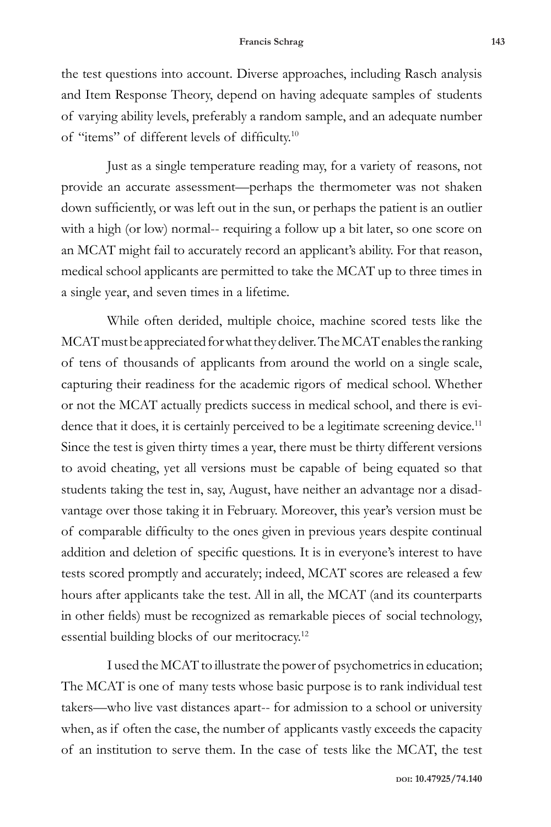the test questions into account. Diverse approaches, including Rasch analysis and Item Response Theory, depend on having adequate samples of students of varying ability levels, preferably a random sample, and an adequate number of "items" of different levels of difficulty.<sup>10</sup>

Just as a single temperature reading may, for a variety of reasons, not provide an accurate assessment—perhaps the thermometer was not shaken down sufficiently, or was left out in the sun, or perhaps the patient is an outlier with a high (or low) normal-- requiring a follow up a bit later, so one score on an MCAT might fail to accurately record an applicant's ability. For that reason, medical school applicants are permitted to take the MCAT up to three times in a single year, and seven times in a lifetime.

While often derided, multiple choice, machine scored tests like the MCAT must be appreciated for what they deliver. The MCAT enables the ranking of tens of thousands of applicants from around the world on a single scale, capturing their readiness for the academic rigors of medical school. Whether or not the MCAT actually predicts success in medical school, and there is evidence that it does, it is certainly perceived to be a legitimate screening device.<sup>11</sup> Since the test is given thirty times a year, there must be thirty different versions to avoid cheating, yet all versions must be capable of being equated so that students taking the test in, say, August, have neither an advantage nor a disadvantage over those taking it in February. Moreover, this year's version must be of comparable difficulty to the ones given in previous years despite continual addition and deletion of specific questions. It is in everyone's interest to have tests scored promptly and accurately; indeed, MCAT scores are released a few hours after applicants take the test. All in all, the MCAT (and its counterparts in other fields) must be recognized as remarkable pieces of social technology, essential building blocks of our meritocracy.<sup>12</sup>

I used the MCAT to illustrate the power of psychometrics in education; The MCAT is one of many tests whose basic purpose is to rank individual test takers—who live vast distances apart-- for admission to a school or university when, as if often the case, the number of applicants vastly exceeds the capacity of an institution to serve them. In the case of tests like the MCAT, the test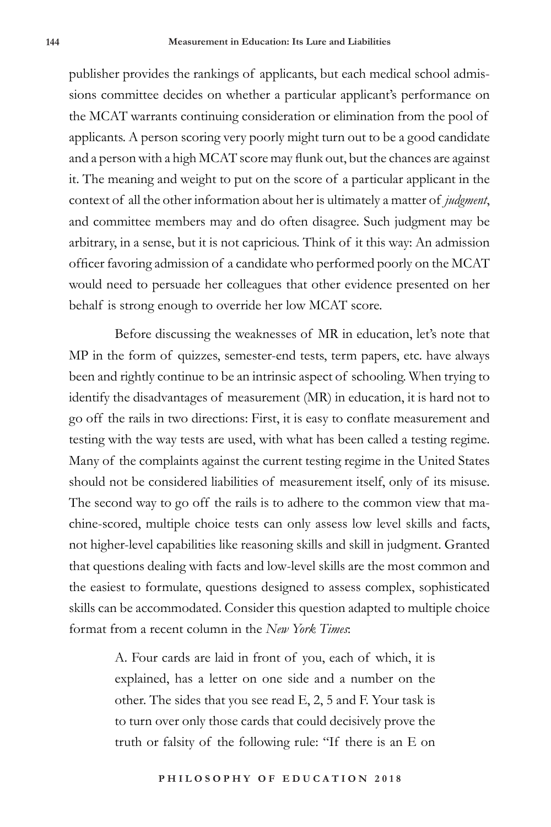publisher provides the rankings of applicants, but each medical school admissions committee decides on whether a particular applicant's performance on the MCAT warrants continuing consideration or elimination from the pool of applicants. A person scoring very poorly might turn out to be a good candidate and a person with a high MCAT score may flunk out, but the chances are against it. The meaning and weight to put on the score of a particular applicant in the context of all the other information about her is ultimately a matter of *judgment*, and committee members may and do often disagree. Such judgment may be arbitrary, in a sense, but it is not capricious. Think of it this way: An admission officer favoring admission of a candidate who performed poorly on the MCAT would need to persuade her colleagues that other evidence presented on her behalf is strong enough to override her low MCAT score.

Before discussing the weaknesses of MR in education, let's note that MP in the form of quizzes, semester-end tests, term papers, etc. have always been and rightly continue to be an intrinsic aspect of schooling. When trying to identify the disadvantages of measurement (MR) in education, it is hard not to go off the rails in two directions: First, it is easy to conflate measurement and testing with the way tests are used, with what has been called a testing regime. Many of the complaints against the current testing regime in the United States should not be considered liabilities of measurement itself, only of its misuse. The second way to go off the rails is to adhere to the common view that machine-scored, multiple choice tests can only assess low level skills and facts, not higher-level capabilities like reasoning skills and skill in judgment. Granted that questions dealing with facts and low-level skills are the most common and the easiest to formulate, questions designed to assess complex, sophisticated skills can be accommodated. Consider this question adapted to multiple choice format from a recent column in the *New York Times*:

> A. Four cards are laid in front of you, each of which, it is explained, has a letter on one side and a number on the other. The sides that you see read E, 2, 5 and F. Your task is to turn over only those cards that could decisively prove the truth or falsity of the following rule: "If there is an E on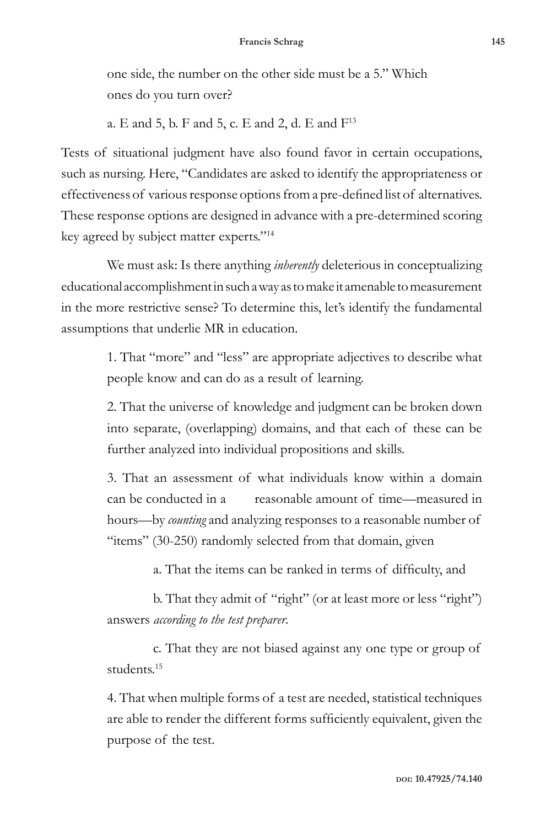one side, the number on the other side must be a 5." Which ones do you turn over?

a. E and 5, b. F and 5, c. E and 2, d. E and  $F^{13}$ 

Tests of situational judgment have also found favor in certain occupations, such as nursing. Here, "Candidates are asked to identify the appropriateness or effectiveness of various response options from a pre-defined list of alternatives. These response options are designed in advance with a pre-determined scoring key agreed by subject matter experts."14

We must ask: Is there anything *inherently* deleterious in conceptualizing educational accomplishment in such a way as to make it amenable to measurement in the more restrictive sense? To determine this, let's identify the fundamental assumptions that underlie MR in education.

> 1. That "more" and "less" are appropriate adjectives to describe what people know and can do as a result of learning.

> 2. That the universe of knowledge and judgment can be broken down into separate, (overlapping) domains, and that each of these can be further analyzed into individual propositions and skills.

> 3. That an assessment of what individuals know within a domain can be conducted in a reasonable amount of time—measured in hours—by *counting* and analyzing responses to a reasonable number of "items" (30-250) randomly selected from that domain, given

> > a. That the items can be ranked in terms of difficulty, and

b. That they admit of "right" (or at least more or less "right") answers *according to the test preparer*.

c. That they are not biased against any one type or group of students.<sup>15</sup>

4. That when multiple forms of a test are needed, statistical techniques are able to render the different forms sufficiently equivalent, given the purpose of the test.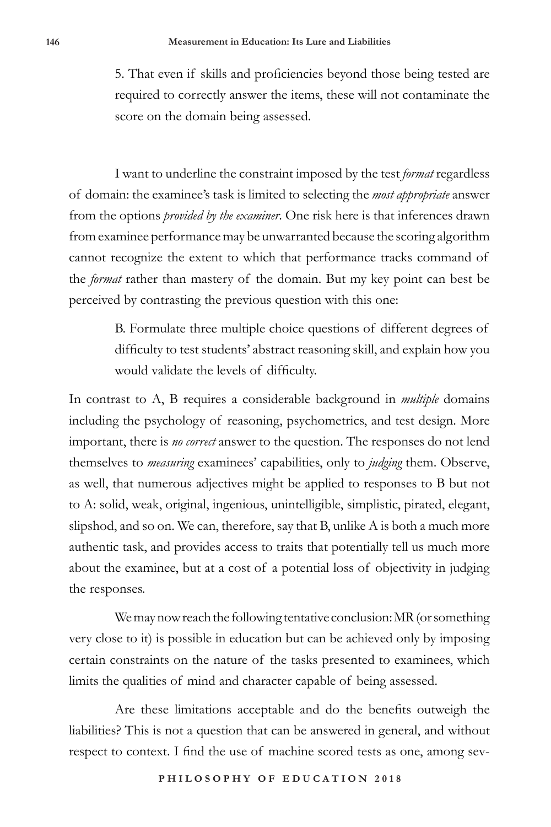5. That even if skills and proficiencies beyond those being tested are required to correctly answer the items, these will not contaminate the score on the domain being assessed.

I want to underline the constraint imposed by the test *format* regardless of domain: the examinee's task is limited to selecting the *most appropriate* answer from the options *provided by the examiner*. One risk here is that inferences drawn from examinee performance may be unwarranted because the scoring algorithm cannot recognize the extent to which that performance tracks command of the *format* rather than mastery of the domain. But my key point can best be perceived by contrasting the previous question with this one:

> B. Formulate three multiple choice questions of different degrees of difficulty to test students' abstract reasoning skill, and explain how you would validate the levels of difficulty.

In contrast to A, B requires a considerable background in *multiple* domains including the psychology of reasoning, psychometrics, and test design. More important, there is *no correct* answer to the question. The responses do not lend themselves to *measuring* examinees' capabilities, only to *judging* them. Observe, as well, that numerous adjectives might be applied to responses to B but not to A: solid, weak, original, ingenious, unintelligible, simplistic, pirated, elegant, slipshod, and so on. We can, therefore, say that B, unlike A is both a much more authentic task, and provides access to traits that potentially tell us much more about the examinee, but at a cost of a potential loss of objectivity in judging the responses.

We may now reach the following tentative conclusion: MR (or something very close to it) is possible in education but can be achieved only by imposing certain constraints on the nature of the tasks presented to examinees, which limits the qualities of mind and character capable of being assessed.

Are these limitations acceptable and do the benefits outweigh the liabilities? This is not a question that can be answered in general, and without respect to context. I find the use of machine scored tests as one, among sev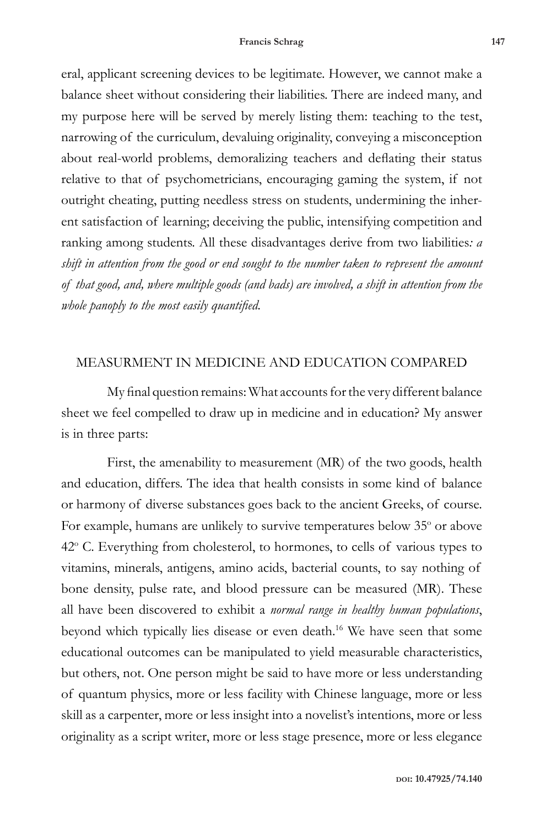eral, applicant screening devices to be legitimate. However, we cannot make a balance sheet without considering their liabilities. There are indeed many, and my purpose here will be served by merely listing them: teaching to the test, narrowing of the curriculum, devaluing originality, conveying a misconception about real-world problems, demoralizing teachers and deflating their status relative to that of psychometricians, encouraging gaming the system, if not outright cheating, putting needless stress on students, undermining the inherent satisfaction of learning; deceiving the public, intensifying competition and ranking among students. All these disadvantages derive from two liabilities*: a shift in attention from the good or end sought to the number taken to represent the amount of that good, and, where multiple goods (and bads) are involved, a shift in attention from the whole panoply to the most easily quantified.*

## MEASURMENT IN MEDICINE AND EDUCATION COMPARED

My final question remains: What accounts for the very different balance sheet we feel compelled to draw up in medicine and in education? My answer is in three parts:

First, the amenability to measurement (MR) of the two goods, health and education, differs. The idea that health consists in some kind of balance or harmony of diverse substances goes back to the ancient Greeks, of course. For example, humans are unlikely to survive temperatures below 35° or above 42° C. Everything from cholesterol, to hormones, to cells of various types to vitamins, minerals, antigens, amino acids, bacterial counts, to say nothing of bone density, pulse rate, and blood pressure can be measured (MR). These all have been discovered to exhibit a *normal range in healthy human populations*, beyond which typically lies disease or even death.16 We have seen that some educational outcomes can be manipulated to yield measurable characteristics, but others, not. One person might be said to have more or less understanding of quantum physics, more or less facility with Chinese language, more or less skill as a carpenter, more or less insight into a novelist's intentions, more or less originality as a script writer, more or less stage presence, more or less elegance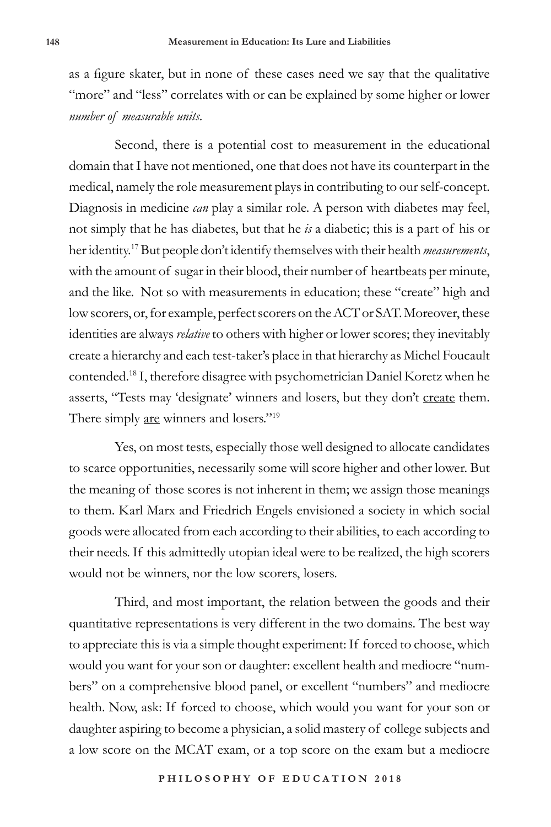as a figure skater, but in none of these cases need we say that the qualitative "more" and "less" correlates with or can be explained by some higher or lower *number of measurable units*.

Second, there is a potential cost to measurement in the educational domain that I have not mentioned, one that does not have its counterpart in the medical, namely the role measurement plays in contributing to our self-concept. Diagnosis in medicine *can* play a similar role. A person with diabetes may feel, not simply that he has diabetes, but that he *is* a diabetic; this is a part of his or her identity.17 But people don't identify themselves with their health *measurements*, with the amount of sugar in their blood, their number of heartbeats per minute, and the like. Not so with measurements in education; these "create" high and low scorers, or, for example, perfect scorers on the ACT or SAT. Moreover, these identities are always *relative* to others with higher or lower scores; they inevitably create a hierarchy and each test-taker's place in that hierarchy as Michel Foucault contended.18 I, therefore disagree with psychometrician Daniel Koretz when he asserts, "Tests may 'designate' winners and losers, but they don't create them. There simply are winners and losers."<sup>19</sup>

Yes, on most tests, especially those well designed to allocate candidates to scarce opportunities, necessarily some will score higher and other lower. But the meaning of those scores is not inherent in them; we assign those meanings to them. Karl Marx and Friedrich Engels envisioned a society in which social goods were allocated from each according to their abilities, to each according to their needs. If this admittedly utopian ideal were to be realized, the high scorers would not be winners, nor the low scorers, losers.

Third, and most important, the relation between the goods and their quantitative representations is very different in the two domains. The best way to appreciate this is via a simple thought experiment: If forced to choose, which would you want for your son or daughter: excellent health and mediocre "numbers" on a comprehensive blood panel, or excellent "numbers" and mediocre health. Now, ask: If forced to choose, which would you want for your son or daughter aspiring to become a physician, a solid mastery of college subjects and a low score on the MCAT exam, or a top score on the exam but a mediocre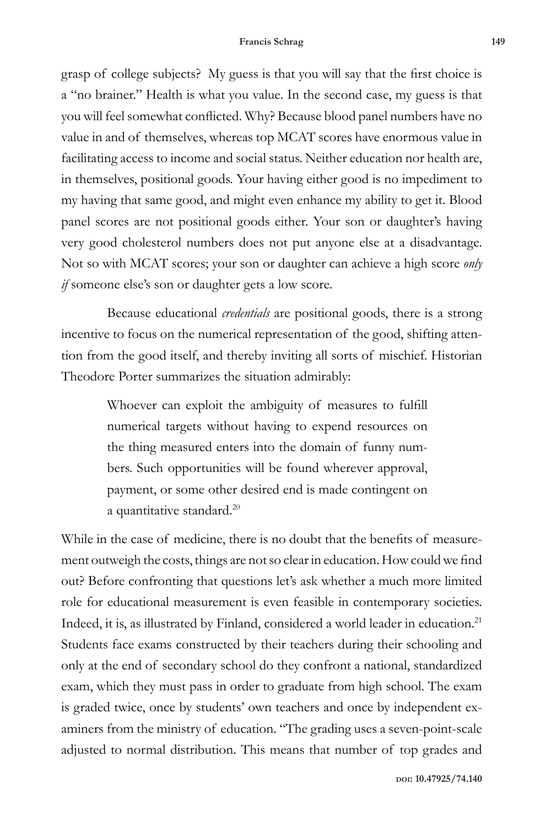grasp of college subjects? My guess is that you will say that the first choice is a "no brainer." Health is what you value. In the second case, my guess is that you will feel somewhat conflicted. Why? Because blood panel numbers have no value in and of themselves, whereas top MCAT scores have enormous value in facilitating access to income and social status. Neither education nor health are, in themselves, positional goods. Your having either good is no impediment to my having that same good, and might even enhance my ability to get it. Blood panel scores are not positional goods either. Your son or daughter's having very good cholesterol numbers does not put anyone else at a disadvantage. Not so with MCAT scores; your son or daughter can achieve a high score *only if* someone else's son or daughter gets a low score.

Because educational *credentials* are positional goods, there is a strong incentive to focus on the numerical representation of the good, shifting attention from the good itself, and thereby inviting all sorts of mischief. Historian Theodore Porter summarizes the situation admirably:

> Whoever can exploit the ambiguity of measures to fulfill numerical targets without having to expend resources on the thing measured enters into the domain of funny numbers. Such opportunities will be found wherever approval, payment, or some other desired end is made contingent on a quantitative standard.<sup>20</sup>

While in the case of medicine, there is no doubt that the benefits of measurement outweigh the costs, things are not so clear in education. How could we find out? Before confronting that questions let's ask whether a much more limited role for educational measurement is even feasible in contemporary societies. Indeed, it is, as illustrated by Finland, considered a world leader in education.21 Students face exams constructed by their teachers during their schooling and only at the end of secondary school do they confront a national, standardized exam, which they must pass in order to graduate from high school. The exam is graded twice, once by students' own teachers and once by independent examiners from the ministry of education. "The grading uses a seven-point-scale adjusted to normal distribution. This means that number of top grades and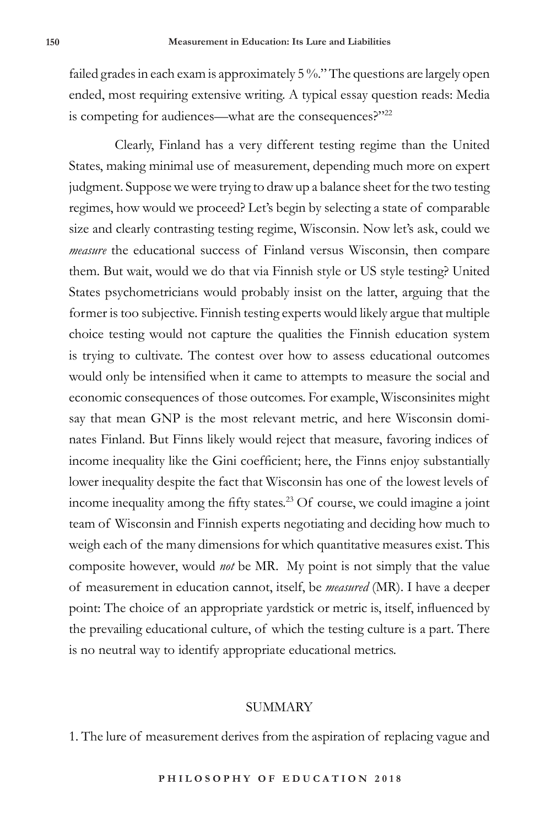failed grades in each exam is approximately 5 %." The questions are largely open ended, most requiring extensive writing. A typical essay question reads: Media is competing for audiences—what are the consequences?"22

Clearly, Finland has a very different testing regime than the United States, making minimal use of measurement, depending much more on expert judgment. Suppose we were trying to draw up a balance sheet for the two testing regimes, how would we proceed? Let's begin by selecting a state of comparable size and clearly contrasting testing regime, Wisconsin. Now let's ask, could we *measure* the educational success of Finland versus Wisconsin, then compare them. But wait, would we do that via Finnish style or US style testing? United States psychometricians would probably insist on the latter, arguing that the former is too subjective. Finnish testing experts would likely argue that multiple choice testing would not capture the qualities the Finnish education system is trying to cultivate. The contest over how to assess educational outcomes would only be intensified when it came to attempts to measure the social and economic consequences of those outcomes. For example, Wisconsinites might say that mean GNP is the most relevant metric, and here Wisconsin dominates Finland. But Finns likely would reject that measure, favoring indices of income inequality like the Gini coefficient; here, the Finns enjoy substantially lower inequality despite the fact that Wisconsin has one of the lowest levels of income inequality among the fifty states.23 Of course, we could imagine a joint team of Wisconsin and Finnish experts negotiating and deciding how much to weigh each of the many dimensions for which quantitative measures exist. This composite however, would *not* be MR. My point is not simply that the value of measurement in education cannot, itself, be *measured* (MR). I have a deeper point: The choice of an appropriate yardstick or metric is, itself, influenced by the prevailing educational culture, of which the testing culture is a part. There is no neutral way to identify appropriate educational metrics.

#### SUMMARY

1. The lure of measurement derives from the aspiration of replacing vague and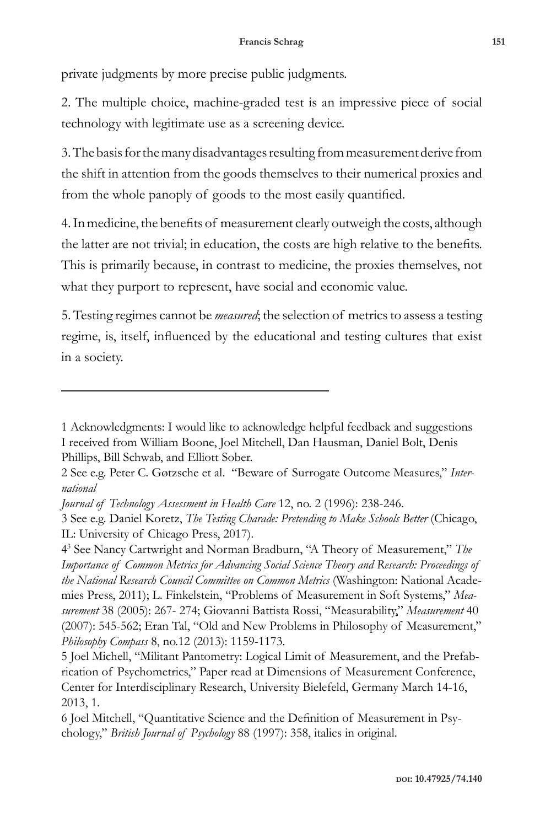private judgments by more precise public judgments.

2. The multiple choice, machine-graded test is an impressive piece of social technology with legitimate use as a screening device.

3. The basis for the many disadvantages resulting from measurement derive from the shift in attention from the goods themselves to their numerical proxies and from the whole panoply of goods to the most easily quantified.

4. In medicine, the benefits of measurement clearly outweigh the costs, although the latter are not trivial; in education, the costs are high relative to the benefits. This is primarily because, in contrast to medicine, the proxies themselves, not what they purport to represent, have social and economic value.

5. Testing regimes cannot be *measured*; the selection of metrics to assess a testing regime, is, itself, influenced by the educational and testing cultures that exist in a society.

<sup>1</sup> Acknowledgments: I would like to acknowledge helpful feedback and suggestions I received from William Boone, Joel Mitchell, Dan Hausman, Daniel Bolt, Denis Phillips, Bill Schwab, and Elliott Sober.

<sup>2</sup> See e.g. Peter C. Gøtzsche et al. "Beware of Surrogate Outcome Measures," *International* 

*Journal of Technology Assessment in Health Care* 12, no. 2 (1996): 238-246.

<sup>3</sup> See e.g. Daniel Koretz, *The Testing Charade: Pretending to Make Schools Better* (Chicago, IL: University of Chicago Press, 2017).

<sup>43</sup> See Nancy Cartwright and Norman Bradburn, "A Theory of Measurement," *The Importance of Common Metrics for Advancing Social Science Theory and Research: Proceedings of the National Research Council Committee on Common Metrics* (Washington: National Academies Press, 2011); L. Finkelstein, "Problems of Measurement in Soft Systems," *Measurement* 38 (2005): 267- 274; Giovanni Battista Rossi, "Measurability," *Measurement* 40 (2007): 545-562; Eran Tal, "Old and New Problems in Philosophy of Measurement," *Philosophy Compass* 8, no.12 (2013): 1159-1173.

<sup>5</sup> Joel Michell, "Militant Pantometry: Logical Limit of Measurement, and the Prefabrication of Psychometrics," Paper read at Dimensions of Measurement Conference, Center for Interdisciplinary Research, University Bielefeld, Germany March 14-16, 2013, 1.

<sup>6</sup> Joel Mitchell, "Quantitative Science and the Definition of Measurement in Psychology," *British Journal of Psychology* 88 (1997): 358, italics in original.